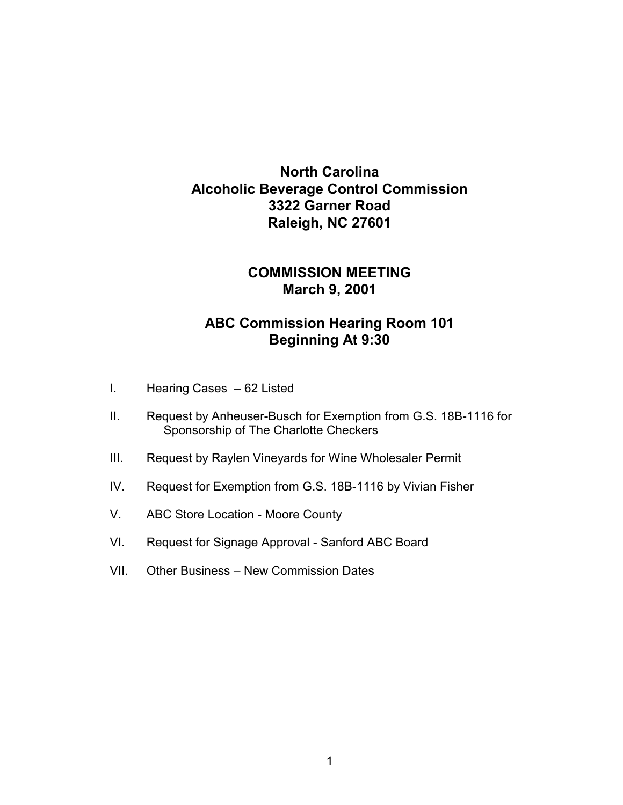## **North Carolina Alcoholic Beverage Control Commission 3322 Garner Road Raleigh, NC 27601**

## **COMMISSION MEETING March 9, 2001**

## **ABC Commission Hearing Room 101 Beginning At 9:30**

- I. Hearing Cases 62 Listed
- II. Request by Anheuser-Busch for Exemption from G.S. 18B-1116 for Sponsorship of The Charlotte Checkers
- III. Request by Raylen Vineyards for Wine Wholesaler Permit
- IV. Request for Exemption from G.S. 18B-1116 by Vivian Fisher
- V. ABC Store Location Moore County
- VI. Request for Signage Approval Sanford ABC Board
- VII. Other Business New Commission Dates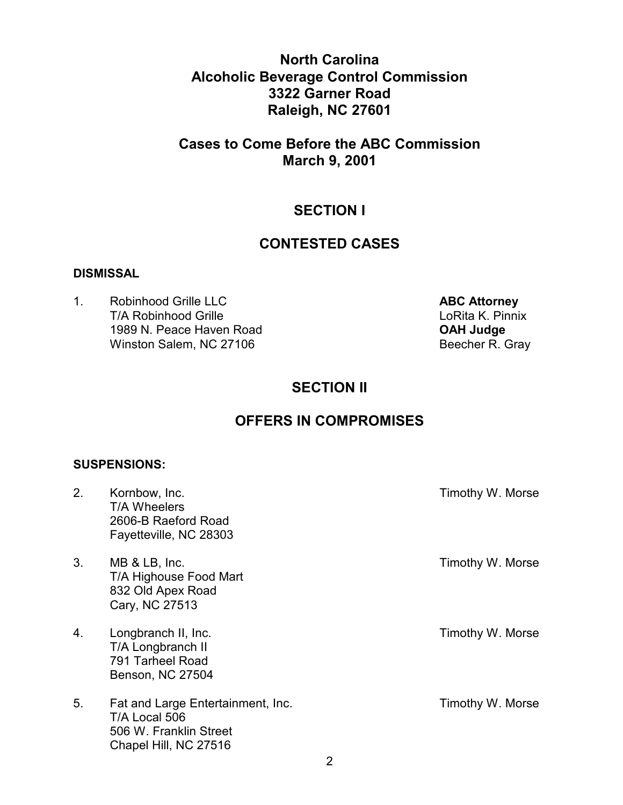**North Carolina Alcoholic Beverage Control Commission 3322 Garner Road Raleigh, NC 27601** 

## **Cases to Come Before the ABC Commission March 9, 2001**

## **SECTION I**

### **CONTESTED CASES**

#### **DISMISSAL**

1. Robinhood Grille LLC **ABC Attorney** T/A Robinhood Grille **Loring Community** Loring Loring Loring Loring Loring Loring Loring Loring Loring Loring Loring Loring Loring Loring Loring Loring Loring Loring Loring Loring Loring Loring Loring Loring Loring Loring 1989 N. Peace Haven Road **OAH Judge**  Winston Salem, NC 27106

## **SECTION II**

## **OFFERS IN COMPROMISES**

#### **SUSPENSIONS:**

| 2. | Kornbow, Inc.<br>T/A Wheelers<br>2606-B Raeford Road<br>Fayetteville, NC 28303                        | Timothy W. Morse |
|----|-------------------------------------------------------------------------------------------------------|------------------|
| 3. | MB & LB, Inc.<br>T/A Highouse Food Mart<br>832 Old Apex Road<br>Cary, NC 27513                        | Timothy W. Morse |
| 4. | Longbranch II, Inc.<br>T/A Longbranch II<br>791 Tarheel Road<br>Benson, NC 27504                      | Timothy W. Morse |
| 5. | Fat and Large Entertainment, Inc.<br>T/A Local 506<br>506 W. Franklin Street<br>Chapel Hill, NC 27516 | Timothy W. Morse |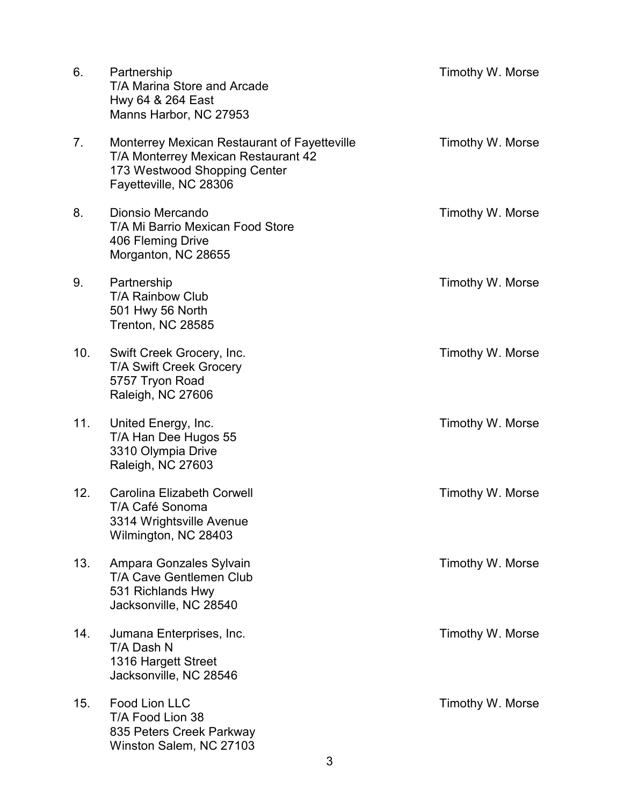| 6.  | Partnership<br>T/A Marina Store and Arcade<br>Hwy 64 & 264 East<br>Manns Harbor, NC 27953                                                     | Timothy W. Morse |
|-----|-----------------------------------------------------------------------------------------------------------------------------------------------|------------------|
| 7.  | Monterrey Mexican Restaurant of Fayetteville<br>T/A Monterrey Mexican Restaurant 42<br>173 Westwood Shopping Center<br>Fayetteville, NC 28306 | Timothy W. Morse |
| 8.  | Dionsio Mercando<br>T/A Mi Barrio Mexican Food Store<br>406 Fleming Drive<br>Morganton, NC 28655                                              | Timothy W. Morse |
| 9.  | Partnership<br><b>T/A Rainbow Club</b><br>501 Hwy 56 North<br>Trenton, NC 28585                                                               | Timothy W. Morse |
| 10. | Swift Creek Grocery, Inc.<br><b>T/A Swift Creek Grocery</b><br>5757 Tryon Road<br>Raleigh, NC 27606                                           | Timothy W. Morse |
| 11. | United Energy, Inc.<br>T/A Han Dee Hugos 55<br>3310 Olympia Drive<br>Raleigh, NC 27603                                                        | Timothy W. Morse |
| 12. | <b>Carolina Elizabeth Corwell</b><br>T/A Café Sonoma<br>3314 Wrightsville Avenue<br>Wilmington, NC 28403                                      | Timothy W. Morse |
| 13. | Ampara Gonzales Sylvain<br>T/A Cave Gentlemen Club<br>531 Richlands Hwy<br>Jacksonville, NC 28540                                             | Timothy W. Morse |
| 14. | Jumana Enterprises, Inc.<br>T/A Dash N<br>1316 Hargett Street<br>Jacksonville, NC 28546                                                       | Timothy W. Morse |
| 15. | Food Lion LLC<br>T/A Food Lion 38<br>835 Peters Creek Parkway<br>Winston Salem, NC 27103                                                      | Timothy W. Morse |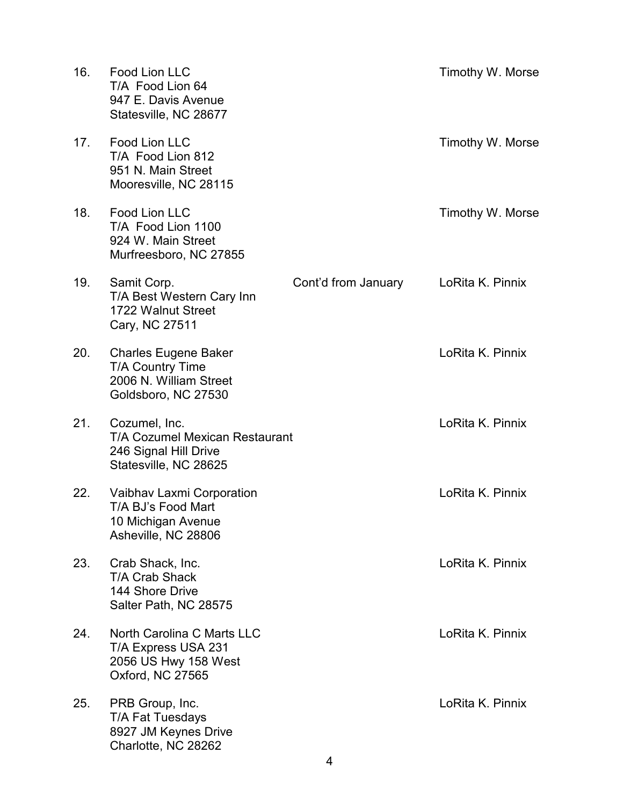| 16. | Food Lion LLC<br>T/A Food Lion 64<br>947 E. Davis Avenue<br>Statesville, NC 28677                        |                     | Timothy W. Morse |
|-----|----------------------------------------------------------------------------------------------------------|---------------------|------------------|
| 17. | Food Lion LLC<br>T/A Food Lion 812<br>951 N. Main Street<br>Mooresville, NC 28115                        |                     | Timothy W. Morse |
| 18. | Food Lion LLC<br>T/A Food Lion 1100<br>924 W. Main Street<br>Murfreesboro, NC 27855                      |                     | Timothy W. Morse |
| 19. | Samit Corp.<br>T/A Best Western Cary Inn<br>1722 Walnut Street<br>Cary, NC 27511                         | Cont'd from January | LoRita K. Pinnix |
| 20. | <b>Charles Eugene Baker</b><br><b>T/A Country Time</b><br>2006 N. William Street<br>Goldsboro, NC 27530  |                     | LoRita K. Pinnix |
| 21. | Cozumel, Inc.<br><b>T/A Cozumel Mexican Restaurant</b><br>246 Signal Hill Drive<br>Statesville, NC 28625 |                     | LoRita K. Pinnix |
| 22. | Vaibhav Laxmi Corporation<br>T/A BJ's Food Mart<br>10 Michigan Avenue<br>Asheville, NC 28806             |                     | LoRita K. Pinnix |
| 23. | Crab Shack, Inc.<br><b>T/A Crab Shack</b><br>144 Shore Drive<br>Salter Path, NC 28575                    |                     | LoRita K. Pinnix |
| 24. | North Carolina C Marts LLC<br>T/A Express USA 231<br>2056 US Hwy 158 West<br>Oxford, NC 27565            |                     | LoRita K. Pinnix |
| 25. | PRB Group, Inc.<br><b>T/A Fat Tuesdays</b><br>8927 JM Keynes Drive<br>Charlotte, NC 28262                |                     | LoRita K. Pinnix |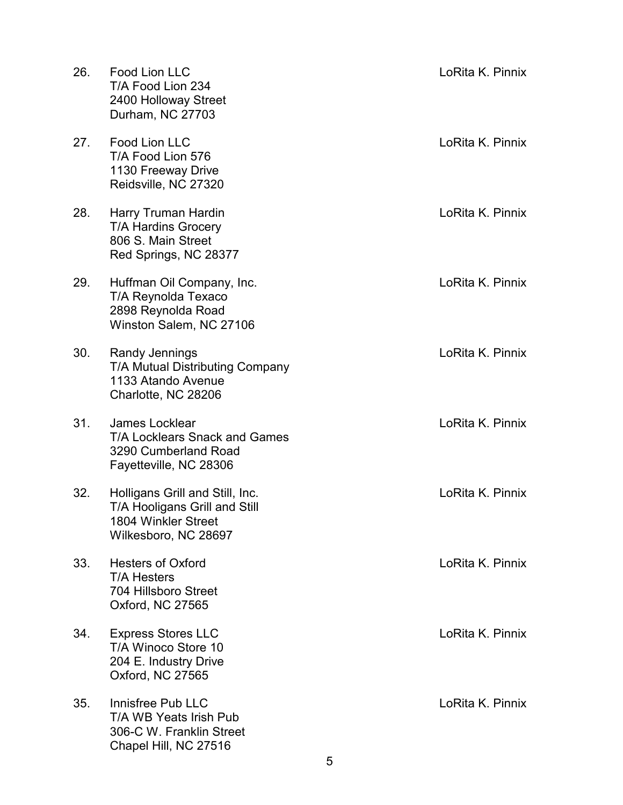| 26. | Food Lion LLC<br>T/A Food Lion 234<br>2400 Holloway Street<br>Durham, NC 27703                                  | LoRita K. Pinnix |
|-----|-----------------------------------------------------------------------------------------------------------------|------------------|
| 27. | Food Lion LLC<br>T/A Food Lion 576<br>1130 Freeway Drive<br>Reidsville, NC 27320                                | LoRita K. Pinnix |
| 28. | Harry Truman Hardin<br><b>T/A Hardins Grocery</b><br>806 S. Main Street<br>Red Springs, NC 28377                | LoRita K. Pinnix |
| 29. | Huffman Oil Company, Inc.<br>T/A Reynolda Texaco<br>2898 Reynolda Road<br>Winston Salem, NC 27106               | LoRita K. Pinnix |
| 30. | Randy Jennings<br><b>T/A Mutual Distributing Company</b><br>1133 Atando Avenue<br>Charlotte, NC 28206           | LoRita K. Pinnix |
| 31. | James Locklear<br><b>T/A Locklears Snack and Games</b><br>3290 Cumberland Road<br>Fayetteville, NC 28306        | LoRita K. Pinnix |
| 32. | Holligans Grill and Still, Inc.<br>T/A Hooligans Grill and Still<br>1804 Winkler Street<br>Wilkesboro, NC 28697 | LoRita K. Pinnix |
| 33. | <b>Hesters of Oxford</b><br><b>T/A Hesters</b><br>704 Hillsboro Street<br>Oxford, NC 27565                      | LoRita K. Pinnix |
| 34. | <b>Express Stores LLC</b><br>T/A Winoco Store 10<br>204 E. Industry Drive<br>Oxford, NC 27565                   | LoRita K. Pinnix |
| 35. | Innisfree Pub LLC<br>T/A WB Yeats Irish Pub<br>306-C W. Franklin Street<br>Chapel Hill, NC 27516                | LoRita K. Pinnix |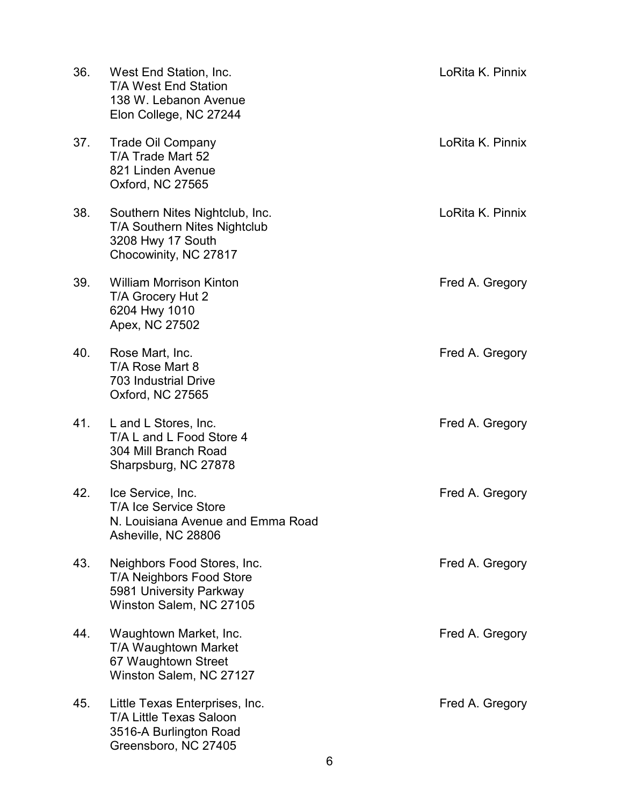| 36. | West End Station, Inc.<br><b>T/A West End Station</b><br>138 W. Lebanon Avenue<br>Elon College, NC 27244           | LoRita K. Pinnix |
|-----|--------------------------------------------------------------------------------------------------------------------|------------------|
| 37. | <b>Trade Oil Company</b><br>T/A Trade Mart 52<br>821 Linden Avenue<br>Oxford, NC 27565                             | LoRita K. Pinnix |
| 38. | Southern Nites Nightclub, Inc.<br>T/A Southern Nites Nightclub<br>3208 Hwy 17 South<br>Chocowinity, NC 27817       | LoRita K. Pinnix |
| 39. | <b>William Morrison Kinton</b><br>T/A Grocery Hut 2<br>6204 Hwy 1010<br>Apex, NC 27502                             | Fred A. Gregory  |
| 40. | Rose Mart, Inc.<br>T/A Rose Mart 8<br><b>703 Industrial Drive</b><br>Oxford, NC 27565                              | Fred A. Gregory  |
| 41. | L and L Stores, Inc.<br>T/A L and L Food Store 4<br>304 Mill Branch Road<br>Sharpsburg, NC 27878                   | Fred A. Gregory  |
| 42. | Ice Service, Inc.<br><b>T/A Ice Service Store</b><br>N. Louisiana Avenue and Emma Road<br>Asheville, NC 28806      | Fred A. Gregory  |
| 43. | Neighbors Food Stores, Inc.<br>T/A Neighbors Food Store<br>5981 University Parkway<br>Winston Salem, NC 27105      | Fred A. Gregory  |
| 44. | Waughtown Market, Inc.<br>T/A Waughtown Market<br>67 Waughtown Street<br>Winston Salem, NC 27127                   | Fred A. Gregory  |
| 45. | Little Texas Enterprises, Inc.<br><b>T/A Little Texas Saloon</b><br>3516-A Burlington Road<br>Greensboro, NC 27405 | Fred A. Gregory  |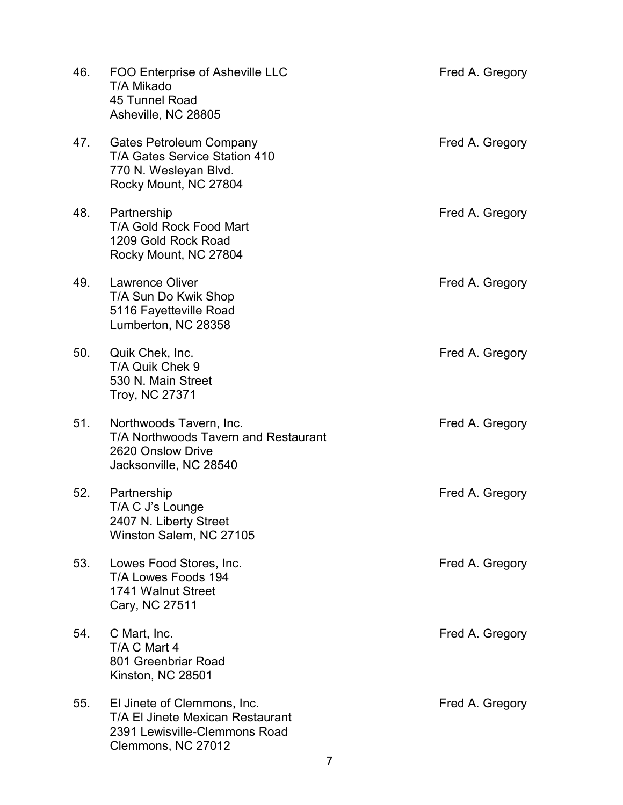| 46. | FOO Enterprise of Asheville LLC<br>T/A Mikado<br>45 Tunnel Road<br>Asheville, NC 28805                                 | Fred A. Gregory |
|-----|------------------------------------------------------------------------------------------------------------------------|-----------------|
| 47. | Gates Petroleum Company<br>T/A Gates Service Station 410<br>770 N. Wesleyan Blvd.<br>Rocky Mount, NC 27804             | Fred A. Gregory |
| 48. | Partnership<br>T/A Gold Rock Food Mart<br>1209 Gold Rock Road<br>Rocky Mount, NC 27804                                 | Fred A. Gregory |
| 49. | <b>Lawrence Oliver</b><br>T/A Sun Do Kwik Shop<br>5116 Fayetteville Road<br>Lumberton, NC 28358                        | Fred A. Gregory |
| 50. | Quik Chek, Inc.<br>T/A Quik Chek 9<br>530 N. Main Street<br><b>Troy, NC 27371</b>                                      | Fred A. Gregory |
| 51. | Northwoods Tavern, Inc.<br><b>T/A Northwoods Tavern and Restaurant</b><br>2620 Onslow Drive<br>Jacksonville, NC 28540  | Fred A. Gregory |
| 52. | Partnership<br>T/A C J's Lounge<br>2407 N. Liberty Street<br>Winston Salem, NC 27105                                   | Fred A. Gregory |
| 53. | Lowes Food Stores, Inc.<br>T/A Lowes Foods 194<br>1741 Walnut Street<br>Cary, NC 27511                                 | Fred A. Gregory |
| 54. | C Mart, Inc.<br>T/A C Mart 4<br>801 Greenbriar Road<br>Kinston, NC 28501                                               | Fred A. Gregory |
| 55. | El Jinete of Clemmons, Inc.<br>T/A El Jinete Mexican Restaurant<br>2391 Lewisville-Clemmons Road<br>Clemmons, NC 27012 | Fred A. Gregory |

7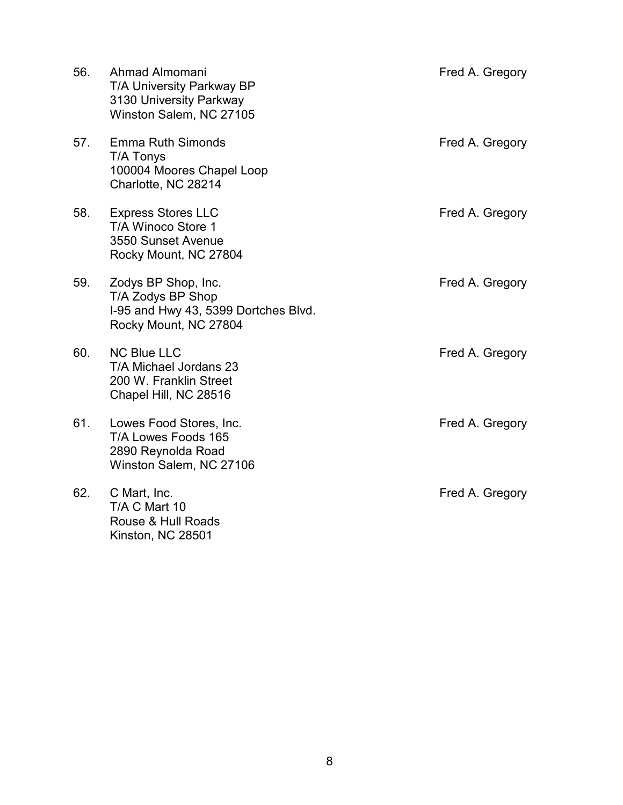| 56. | Ahmad Almomani<br>T/A University Parkway BP<br>3130 University Parkway<br>Winston Salem, NC 27105         | Fred A. Gregory |
|-----|-----------------------------------------------------------------------------------------------------------|-----------------|
| 57. | <b>Emma Ruth Simonds</b><br>T/A Tonys<br>100004 Moores Chapel Loop<br>Charlotte, NC 28214                 | Fred A. Gregory |
| 58. | <b>Express Stores LLC</b><br>T/A Winoco Store 1<br>3550 Sunset Avenue<br>Rocky Mount, NC 27804            | Fred A. Gregory |
| 59. | Zodys BP Shop, Inc.<br>T/A Zodys BP Shop<br>I-95 and Hwy 43, 5399 Dortches Blvd.<br>Rocky Mount, NC 27804 | Fred A. Gregory |
| 60. | <b>NC Blue LLC</b><br>T/A Michael Jordans 23<br>200 W. Franklin Street<br>Chapel Hill, NC 28516           | Fred A. Gregory |
| 61. | Lowes Food Stores, Inc.<br>T/A Lowes Foods 165<br>2890 Reynolda Road<br>Winston Salem, NC 27106           | Fred A. Gregory |
| 62. | C Mart, Inc.<br>T/A C Mart 10<br>Rouse & Hull Roads<br>Kinston, NC 28501                                  | Fred A. Gregory |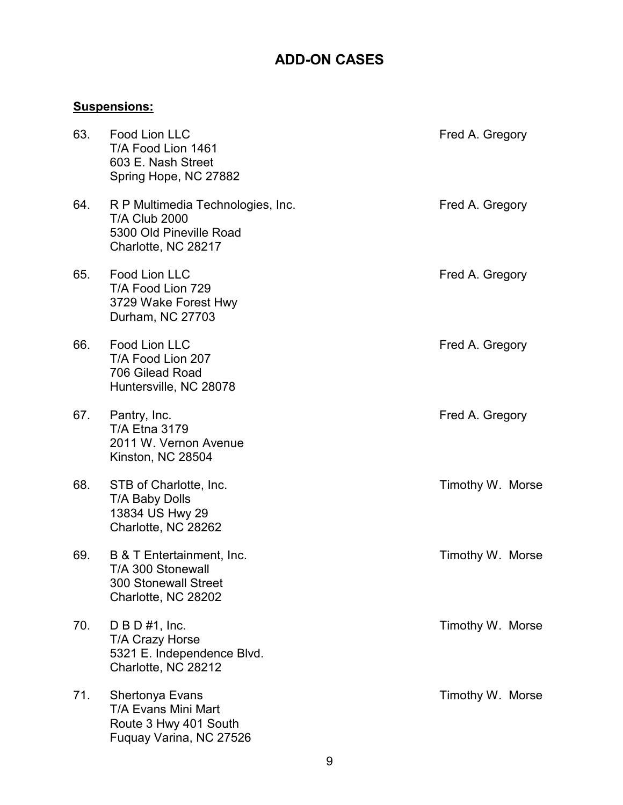# **ADD-ON CASES**

## **Suspensions:**

| 63. | Food Lion LLC<br>T/A Food Lion 1461<br>603 E. Nash Street<br>Spring Hope, NC 27882                          | Fred A. Gregory  |
|-----|-------------------------------------------------------------------------------------------------------------|------------------|
| 64. | R P Multimedia Technologies, Inc.<br><b>T/A Club 2000</b><br>5300 Old Pineville Road<br>Charlotte, NC 28217 | Fred A. Gregory  |
| 65. | Food Lion LLC<br>T/A Food Lion 729<br>3729 Wake Forest Hwy<br>Durham, NC 27703                              | Fred A. Gregory  |
| 66. | Food Lion LLC<br>T/A Food Lion 207<br>706 Gilead Road<br>Huntersville, NC 28078                             | Fred A. Gregory  |
| 67. | Pantry, Inc.<br><b>T/A Etna 3179</b><br>2011 W. Vernon Avenue<br>Kinston, NC 28504                          | Fred A. Gregory  |
| 68. | STB of Charlotte, Inc.<br><b>T/A Baby Dolls</b><br>13834 US Hwy 29<br>Charlotte, NC 28262                   | Timothy W. Morse |
| 69. | B & T Entertainment, Inc.<br>T/A 300 Stonewall<br><b>300 Stonewall Street</b><br>Charlotte, NC 28202        | Timothy W. Morse |
| 70. | $D$ B D #1, Inc.<br><b>T/A Crazy Horse</b><br>5321 E. Independence Blvd.<br>Charlotte, NC 28212             | Timothy W. Morse |
| 71. | Shertonya Evans<br>T/A Evans Mini Mart<br>Route 3 Hwy 401 South<br>Fuquay Varina, NC 27526                  | Timothy W. Morse |